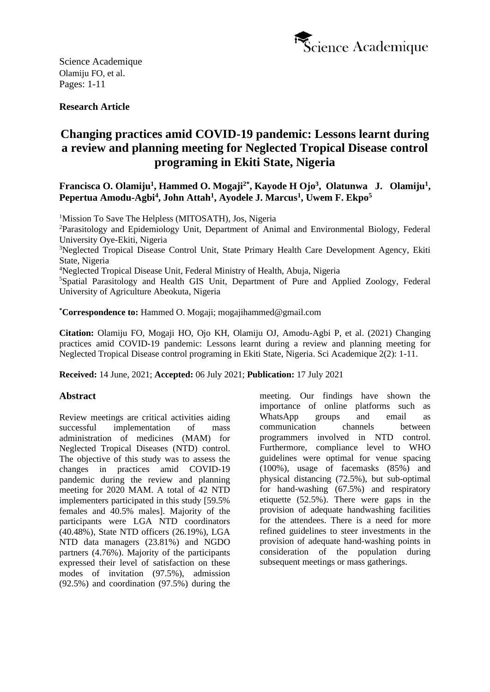

# **Research Article**

# **Changing practices amid COVID-19 pandemic: Lessons learnt during a review and planning meeting for Neglected Tropical Disease control programing in Ekiti State, Nigeria**

# Francisca O. Olamiju<sup>1</sup>, Hammed O. Mogaji<sup>2\*</sup>, Kayode H Ojo<sup>3</sup>, Olatunwa J. Olamiju<sup>1</sup>, **Pepertua Amodu-Agbi<sup>4</sup> , John Attah<sup>1</sup> , Ayodele J. Marcus<sup>1</sup> , Uwem F. Ekpo<sup>5</sup>**

<sup>1</sup>Mission To Save The Helpless (MITOSATH), Jos, Nigeria

<sup>2</sup>Parasitology and Epidemiology Unit, Department of Animal and Environmental Biology, Federal University Oye-Ekiti, Nigeria

<sup>3</sup>Neglected Tropical Disease Control Unit, State Primary Health Care Development Agency, Ekiti State, Nigeria

<sup>4</sup>Neglected Tropical Disease Unit, Federal Ministry of Health, Abuja, Nigeria

<sup>5</sup>Spatial Parasitology and Health GIS Unit, Department of Pure and Applied Zoology, Federal University of Agriculture Abeokuta, Nigeria

**\*Correspondence to:** Hammed O. Mogaji; mogajihammed@gmail.com

**Citation:** Olamiju FO, Mogaji HO, Ojo KH, Olamiju OJ, Amodu-Agbi P, et al. (2021) Changing practices amid COVID-19 pandemic: Lessons learnt during a review and planning meeting for Neglected Tropical Disease control programing in Ekiti State, Nigeria. Sci Academique 2(2): 1-11.

**Received:** 14 June, 2021; **Accepted:** 06 July 2021; **Publication:** 17 July 2021

#### **Abstract**

Review meetings are critical activities aiding successful implementation of mass administration of medicines (MAM) for Neglected Tropical Diseases (NTD) control. The objective of this study was to assess the changes in practices amid COVID-19 pandemic during the review and planning meeting for 2020 MAM. A total of 42 NTD implementers participated in this study [59.5% females and 40.5% males]. Majority of the participants were LGA NTD coordinators (40.48%), State NTD officers (26.19%), LGA NTD data managers (23.81%) and NGDO partners (4.76%). Majority of the participants expressed their level of satisfaction on these modes of invitation (97.5%), admission (92.5%) and coordination (97.5%) during the

meeting. Our findings have shown the importance of online platforms such as WhatsApp groups and email as communication channels between programmers involved in NTD control. Furthermore, compliance level to WHO guidelines were optimal for venue spacing (100%), usage of facemasks (85%) and physical distancing (72.5%), but sub-optimal for hand-washing (67.5%) and respiratory etiquette (52.5%). There were gaps in the provision of adequate handwashing facilities for the attendees. There is a need for more refined guidelines to steer investments in the provision of adequate hand-washing points in consideration of the population during subsequent meetings or mass gatherings.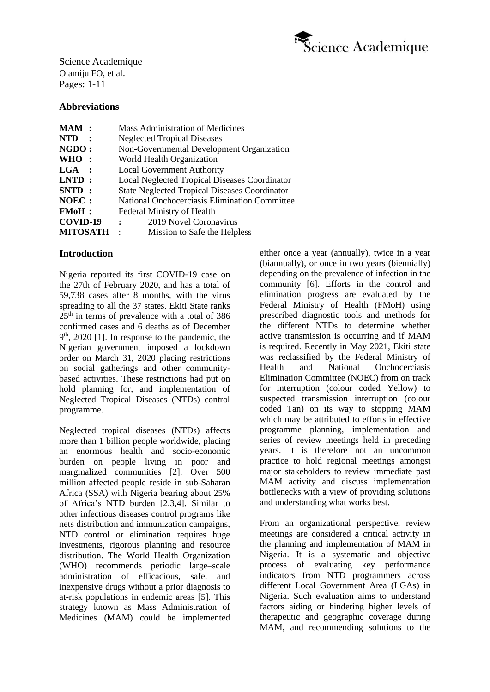

## **Abbreviations**

| MAM:            | <b>Mass Administration of Medicines</b>              |
|-----------------|------------------------------------------------------|
| <b>NTD</b>      | <b>Neglected Tropical Diseases</b>                   |
| NGDO:           | Non-Governmental Development Organization            |
| WHO:            | World Health Organization                            |
| $LGA$ :         | <b>Local Government Authority</b>                    |
| $LNTD$ :        | <b>Local Neglected Tropical Diseases Coordinator</b> |
| SNTD:           | <b>State Neglected Tropical Diseases Coordinator</b> |
| NOEC :          | National Onchocerciasis Elimination Committee        |
| <b>FMoH</b> :   | <b>Federal Ministry of Health</b>                    |
| COVID-19        | 2019 Novel Coronavirus<br>$\ddot{\cdot}$             |
| <b>MITOSATH</b> | Mission to Safe the Helpless<br>$\cdot$              |

## **Introduction**

Nigeria reported its first COVID-19 case on the 27th of February 2020, and has a total of 59,738 cases after 8 months, with the virus spreading to all the 37 states. Ekiti State ranks 25<sup>th</sup> in terms of prevalence with a total of 386 confirmed cases and 6 deaths as of December 9<sup>th</sup>, 2020 [1]. In response to the pandemic, the Nigerian government imposed a lockdown order on March 31, 2020 placing restrictions on social gatherings and other communitybased activities. These restrictions had put on hold planning for, and implementation of Neglected Tropical Diseases (NTDs) control programme.

Neglected tropical diseases (NTDs) affects more than 1 billion people worldwide, placing an enormous health and socio-economic burden on people living in poor and marginalized communities [2]. Over 500 million affected people reside in sub-Saharan Africa (SSA) with Nigeria bearing about 25% of Africa's NTD burden [2,3,4]. Similar to other infectious diseases control programs like nets distribution and immunization campaigns, NTD control or elimination requires huge investments, rigorous planning and resource distribution. The World Health Organization (WHO) recommends periodic large–scale administration of efficacious, safe, and inexpensive drugs without a prior diagnosis to at-risk populations in endemic areas [5]. This strategy known as Mass Administration of Medicines (MAM) could be implemented either once a year (annually), twice in a year (biannually), or once in two years (biennially) depending on the prevalence of infection in the community [6]. Efforts in the control and elimination progress are evaluated by the Federal Ministry of Health (FMoH) using prescribed diagnostic tools and methods for the different NTDs to determine whether active transmission is occurring and if MAM is required. Recently in May 2021, Ekiti state was reclassified by the Federal Ministry of Health and National Onchocerciasis Elimination Committee (NOEC) from on track for interruption (colour coded Yellow) to suspected transmission interruption (colour coded Tan) on its way to stopping MAM which may be attributed to efforts in effective programme planning, implementation and series of review meetings held in preceding years. It is therefore not an uncommon practice to hold regional meetings amongst major stakeholders to review immediate past MAM activity and discuss implementation bottlenecks with a view of providing solutions and understanding what works best.

From an organizational perspective, review meetings are considered a critical activity in the planning and implementation of MAM in Nigeria. It is a systematic and objective process of evaluating key performance indicators from NTD programmers across different Local Government Area (LGAs) in Nigeria. Such evaluation aims to understand factors aiding or hindering higher levels of therapeutic and geographic coverage during MAM, and recommending solutions to the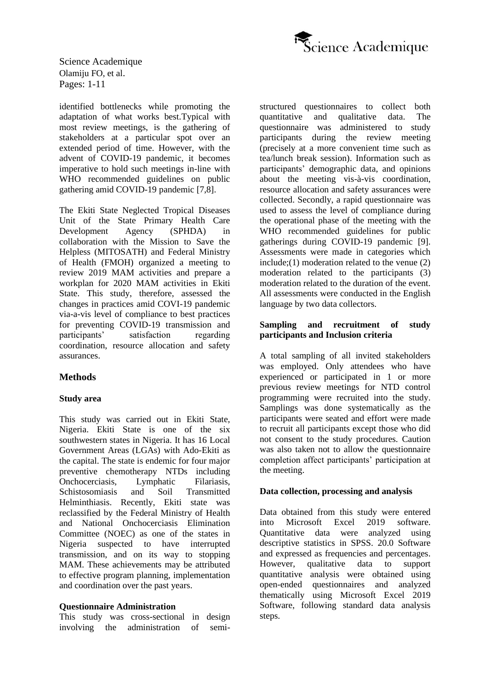

identified bottlenecks while promoting the adaptation of what works best.Typical with most review meetings, is the gathering of stakeholders at a particular spot over an extended period of time. However, with the advent of COVID-19 pandemic, it becomes imperative to hold such meetings in-line with WHO recommended guidelines on public gathering amid COVID-19 pandemic [7,8].

The Ekiti State Neglected Tropical Diseases Unit of the State Primary Health Care Development Agency (SPHDA) in collaboration with the Mission to Save the Helpless (MITOSATH) and Federal Ministry of Health (FMOH) organized a meeting to review 2019 MAM activities and prepare a workplan for 2020 MAM activities in Ekiti State. This study, therefore, assessed the changes in practices amid COVI-19 pandemic via-a-vis level of compliance to best practices for preventing COVID-19 transmission and participants' satisfaction regarding coordination, resource allocation and safety assurances.

## **Methods**

#### **Study area**

This study was carried out in Ekiti State, Nigeria. Ekiti State is one of the six southwestern states in Nigeria. It has 16 Local Government Areas (LGAs) with Ado-Ekiti as the capital. The state is endemic for four major preventive chemotherapy NTDs including Onchocerciasis, Lymphatic Filariasis, Schistosomiasis and Soil Transmitted Helminthiasis. Recently, Ekiti state was reclassified by the Federal Ministry of Health and National Onchocerciasis Elimination Committee (NOEC) as one of the states in Nigeria suspected to have interrupted transmission, and on its way to stopping MAM. These achievements may be attributed to effective program planning, implementation and coordination over the past years.

#### **Questionnaire Administration**

This study was cross-sectional in design involving the administration of semistructured questionnaires to collect both quantitative and qualitative data. The questionnaire was administered to study participants during the review meeting (precisely at a more convenient time such as tea/lunch break session). Information such as participants' demographic data, and opinions about the meeting vis-à-vis coordination, resource allocation and safety assurances were collected. Secondly, a rapid questionnaire was used to assess the level of compliance during the operational phase of the meeting with the WHO recommended guidelines for public gatherings during COVID-19 pandemic [9]. Assessments were made in categories which include;(1) moderation related to the venue (2) moderation related to the participants (3) moderation related to the duration of the event. All assessments were conducted in the English language by two data collectors.

#### **Sampling and recruitment of study participants and Inclusion criteria**

A total sampling of all invited stakeholders was employed. Only attendees who have experienced or participated in 1 or more previous review meetings for NTD control programming were recruited into the study. Samplings was done systematically as the participants were seated and effort were made to recruit all participants except those who did not consent to the study procedures. Caution was also taken not to allow the questionnaire completion affect participants' participation at the meeting.

#### **Data collection, processing and analysis**

Data obtained from this study were entered into Microsoft Excel 2019 software. Quantitative data were analyzed using descriptive statistics in SPSS. 20.0 Software and expressed as frequencies and percentages. However, qualitative data to support quantitative analysis were obtained using open-ended questionnaires and analyzed thematically using Microsoft Excel 2019 Software, following standard data analysis steps.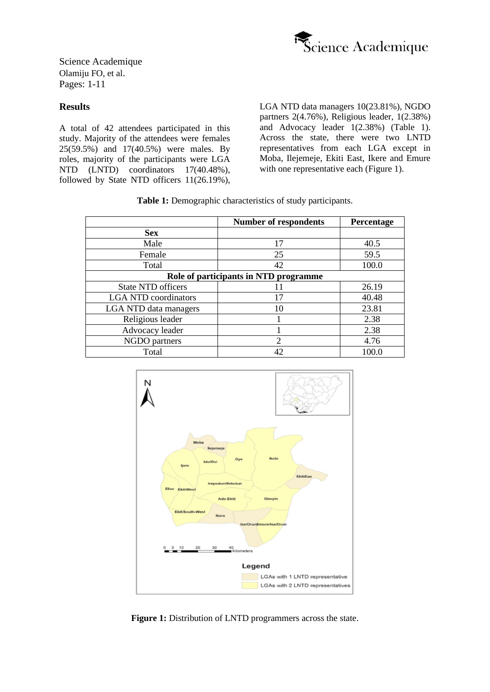

## **Results**

A total of 42 attendees participated in this study. Majority of the attendees were females 25(59.5%) and 17(40.5%) were males. By roles, majority of the participants were LGA NTD (LNTD) coordinators 17(40.48%), followed by State NTD officers 11(26.19%), LGA NTD data managers 10(23.81%), NGDO partners 2(4.76%), Religious leader, 1(2.38%) and Advocacy leader 1(2.38%) (Table 1). Across the state, there were two LNTD representatives from each LGA except in Moba, Ilejemeje, Ekiti East, Ikere and Emure with one representative each (Figure 1).

**Table 1:** Demographic characteristics of study participants.

|                                       | <b>Number of respondents</b> | Percentage |  |  |
|---------------------------------------|------------------------------|------------|--|--|
| <b>Sex</b>                            |                              |            |  |  |
| Male                                  | 17                           | 40.5       |  |  |
| Female                                | 25                           | 59.5       |  |  |
| Total                                 | 42                           | 100.0      |  |  |
| Role of participants in NTD programme |                              |            |  |  |
| <b>State NTD officers</b>             |                              | 26.19      |  |  |
| <b>LGA NTD coordinators</b>           | 17                           | 40.48      |  |  |
| LGA NTD data managers                 | 10                           | 23.81      |  |  |
| Religious leader                      |                              | 2.38       |  |  |
| Advocacy leader                       |                              | 2.38       |  |  |
| NGDO partners                         | $\mathfrak{D}$               | 4.76       |  |  |
| Total                                 | 42                           | 100.0      |  |  |



**Figure 1:** Distribution of LNTD programmers across the state.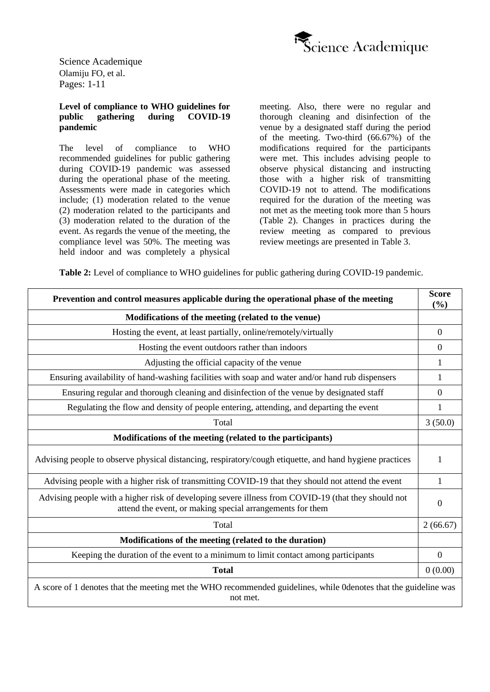

#### **Level of compliance to WHO guidelines for public gathering during COVID-19 pandemic**

The level of compliance to WHO recommended guidelines for public gathering during COVID-19 pandemic was assessed during the operational phase of the meeting. Assessments were made in categories which include; (1) moderation related to the venue (2) moderation related to the participants and (3) moderation related to the duration of the event. As regards the venue of the meeting, the compliance level was 50%. The meeting was held indoor and was completely a physical meeting. Also, there were no regular and thorough cleaning and disinfection of the venue by a designated staff during the period of the meeting. Two-third (66.67%) of the modifications required for the participants were met. This includes advising people to observe physical distancing and instructing those with a higher risk of transmitting COVID-19 not to attend. The modifications required for the duration of the meeting was not met as the meeting took more than 5 hours (Table 2). Changes in practices during the review meeting as compared to previous review meetings are presented in Table 3.

**Table 2:** Level of compliance to WHO guidelines for public gathering during COVID-19 pandemic.

| Prevention and control measures applicable during the operational phase of the meeting                                                                           |                |  |
|------------------------------------------------------------------------------------------------------------------------------------------------------------------|----------------|--|
| Modifications of the meeting (related to the venue)                                                                                                              |                |  |
| Hosting the event, at least partially, online/remotely/virtually                                                                                                 | $\theta$       |  |
| Hosting the event outdoors rather than indoors                                                                                                                   | $\overline{0}$ |  |
| Adjusting the official capacity of the venue                                                                                                                     | 1              |  |
| Ensuring availability of hand-washing facilities with soap and water and/or hand rub dispensers                                                                  | 1              |  |
| Ensuring regular and thorough cleaning and disinfection of the venue by designated staff                                                                         | $\Omega$       |  |
| Regulating the flow and density of people entering, attending, and departing the event                                                                           | 1              |  |
| Total                                                                                                                                                            | 3(50.0)        |  |
| Modifications of the meeting (related to the participants)                                                                                                       |                |  |
| Advising people to observe physical distancing, respiratory/cough etiquette, and hand hygiene practices                                                          | 1              |  |
| Advising people with a higher risk of transmitting COVID-19 that they should not attend the event                                                                |                |  |
| Advising people with a higher risk of developing severe illness from COVID-19 (that they should not<br>attend the event, or making special arrangements for them |                |  |
| Total                                                                                                                                                            | 2(66.67)       |  |
| Modifications of the meeting (related to the duration)                                                                                                           |                |  |
| Keeping the duration of the event to a minimum to limit contact among participants                                                                               | $\Omega$       |  |
| <b>Total</b>                                                                                                                                                     | 0(0.00)        |  |
| A score of 1 denotes that the meeting met the WHO recommended guidelines, while 0 denotes that the guideline was<br>not met.                                     |                |  |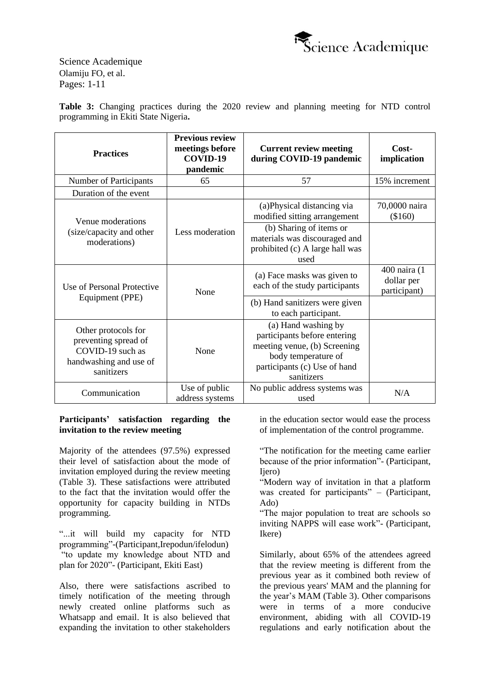

**Table 3:** Changing practices during the 2020 review and planning meeting for NTD control programming in Ekiti State Nigeria**.**

| <b>Practices</b>                                                                                                | <b>Previous review</b><br>meetings before<br>COVID-19<br>pandemic | <b>Current review meeting</b><br>during COVID-19 pandemic                                                                                                | Cost-<br>implication                       |
|-----------------------------------------------------------------------------------------------------------------|-------------------------------------------------------------------|----------------------------------------------------------------------------------------------------------------------------------------------------------|--------------------------------------------|
| Number of Participants                                                                                          | 65                                                                | 57                                                                                                                                                       | 15% increment                              |
| Duration of the event                                                                                           |                                                                   |                                                                                                                                                          |                                            |
| Venue moderations                                                                                               |                                                                   | (a) Physical distancing via<br>modified sitting arrangement                                                                                              | 70,0000 naira<br>(\$160)                   |
| (size/capacity and other<br>moderations)                                                                        | Less moderation                                                   | (b) Sharing of items or<br>materials was discouraged and<br>prohibited (c) A large hall was<br>used                                                      |                                            |
| Use of Personal Protective                                                                                      | None                                                              | (a) Face masks was given to<br>each of the study participants                                                                                            | 400 naira (1<br>dollar per<br>participant) |
| Equipment (PPE)                                                                                                 |                                                                   | (b) Hand sanitizers were given<br>to each participant.                                                                                                   |                                            |
| Other protocols for<br>preventing spread of<br>COVID-19 such as<br>None<br>handwashing and use of<br>sanitizers |                                                                   | (a) Hand washing by<br>participants before entering<br>meeting venue, (b) Screening<br>body temperature of<br>participants (c) Use of hand<br>sanitizers |                                            |
| Communication                                                                                                   | Use of public<br>address systems                                  | No public address systems was<br>used                                                                                                                    | N/A                                        |

#### **Participants' satisfaction regarding the invitation to the review meeting**

Majority of the attendees (97.5%) expressed their level of satisfaction about the mode of invitation employed during the review meeting (Table 3). These satisfactions were attributed to the fact that the invitation would offer the opportunity for capacity building in NTDs programming.

"...it will build my capacity for NTD programming"-(Participant,Irepodun/ifelodun) "to update my knowledge about NTD and plan for 2020"- (Participant, Ekiti East)

Also, there were satisfactions ascribed to timely notification of the meeting through newly created online platforms such as Whatsapp and email. It is also believed that expanding the invitation to other stakeholders in the education sector would ease the process of implementation of the control programme.

"The notification for the meeting came earlier because of the prior information"- (Participant, Ijero)

"Modern way of invitation in that a platform was created for participants" – (Participant, Ado)

"The major population to treat are schools so inviting NAPPS will ease work"- (Participant, Ikere)

Similarly, about 65% of the attendees agreed that the review meeting is different from the previous year as it combined both review of the previous years' MAM and the planning for the year's MAM (Table 3). Other comparisons were in terms of a more conducive environment, abiding with all COVID-19 regulations and early notification about the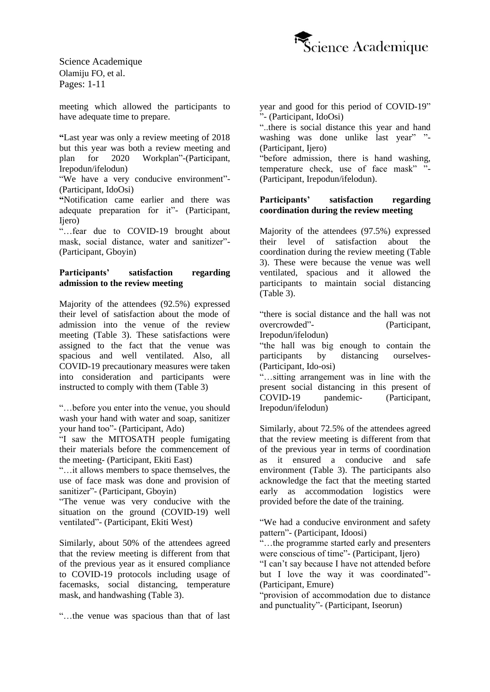

meeting which allowed the participants to have adequate time to prepare.

**"**Last year was only a review meeting of 2018 but this year was both a review meeting and plan for 2020 Workplan"-(Participant, Irepodun/ifelodun)

"We have a very conducive environment"- (Participant, IdoOsi)

**"**Notification came earlier and there was adequate preparation for it"- (Participant, Ijero)

"…fear due to COVID-19 brought about mask, social distance, water and sanitizer"- (Participant, Gboyin)

#### **Participants' satisfaction regarding admission to the review meeting**

Majority of the attendees (92.5%) expressed their level of satisfaction about the mode of admission into the venue of the review meeting (Table 3). These satisfactions were assigned to the fact that the venue was spacious and well ventilated. Also, all COVID-19 precautionary measures were taken into consideration and participants were instructed to comply with them (Table 3)

"…before you enter into the venue, you should wash your hand with water and soap, sanitizer your hand too"- (Participant, Ado)

"I saw the MITOSATH people fumigating their materials before the commencement of the meeting- (Participant, Ekiti East)

"…it allows members to space themselves, the use of face mask was done and provision of sanitizer"- (Participant, Gboyin)

"The venue was very conducive with the situation on the ground (COVID-19) well ventilated"- (Participant, Ekiti West)

Similarly, about 50% of the attendees agreed that the review meeting is different from that of the previous year as it ensured compliance to COVID-19 protocols including usage of facemasks, social distancing, temperature mask, and handwashing (Table 3).

"…the venue was spacious than that of last

year and good for this period of COVID-19" "- (Participant, IdoOsi)

"..there is social distance this year and hand washing was done unlike last year" "-(Participant, Ijero)

"before admission, there is hand washing, temperature check, use of face mask" "- (Participant, Irepodun/ifelodun).

#### **Participants' satisfaction regarding coordination during the review meeting**

Majority of the attendees (97.5%) expressed their level of satisfaction about the coordination during the review meeting (Table 3). These were because the venue was well ventilated, spacious and it allowed the participants to maintain social distancing  $(Table 3)$ .

"there is social distance and the hall was not overcrowded"- (Participant, Irepodun/ifelodun)

"the hall was big enough to contain the participants by distancing ourselves- (Participant, Ido-osi)

"…sitting arrangement was in line with the present social distancing in this present of COVID-19 pandemic- (Participant, Irepodun/ifelodun)

Similarly, about 72.5% of the attendees agreed that the review meeting is different from that of the previous year in terms of coordination as it ensured a conducive and safe environment (Table 3). The participants also acknowledge the fact that the meeting started early as accommodation logistics were provided before the date of the training.

"We had a conducive environment and safety pattern"- (Participant, Idoosi)

"...the programme started early and presenters were conscious of time"- (Participant, Ijero)

"I can't say because I have not attended before but I love the way it was coordinated"- (Participant, Emure)

"provision of accommodation due to distance and punctuality"- (Participant, Iseorun)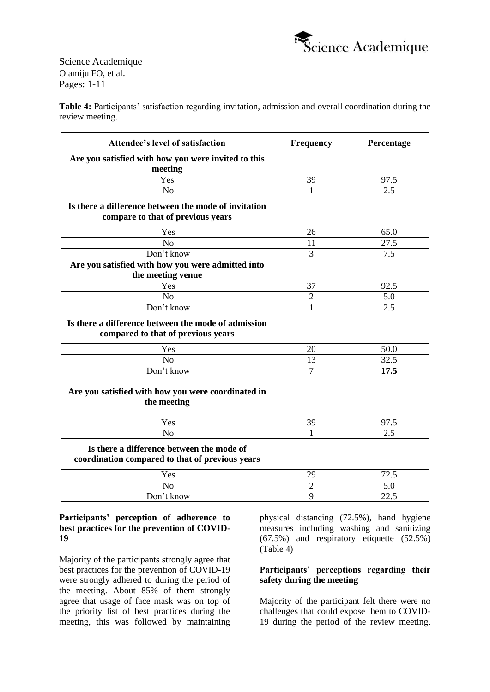

**Table 4:** Participants' satisfaction regarding invitation, admission and overall coordination during the review meeting.

| <b>Attendee's level of satisfaction</b>                                                      | <b>Frequency</b> | Percentage       |
|----------------------------------------------------------------------------------------------|------------------|------------------|
| Are you satisfied with how you were invited to this<br>meeting                               |                  |                  |
| Yes                                                                                          | 39               | 97.5             |
| N <sub>o</sub>                                                                               |                  | $\overline{2.5}$ |
| Is there a difference between the mode of invitation<br>compare to that of previous years    |                  |                  |
| Yes                                                                                          | 26               | 65.0             |
| N <sub>o</sub>                                                                               | 11               | 27.5             |
| Don't know                                                                                   | 3                | 7.5              |
| Are you satisfied with how you were admitted into                                            |                  |                  |
| the meeting venue                                                                            |                  |                  |
| Yes                                                                                          | 37               | 92.5             |
| N <sub>o</sub>                                                                               | $\overline{2}$   | 5.0              |
| Don't know                                                                                   | 1                | 2.5              |
| Is there a difference between the mode of admission<br>compared to that of previous years    |                  |                  |
| Yes                                                                                          | 20               | 50.0             |
| N <sub>o</sub>                                                                               | 13               | 32.5             |
| Don't know                                                                                   | $\overline{7}$   | 17.5             |
| Are you satisfied with how you were coordinated in<br>the meeting                            |                  |                  |
| Yes                                                                                          | 39               | 97.5             |
| No                                                                                           | 1                | 2.5              |
| Is there a difference between the mode of<br>coordination compared to that of previous years |                  |                  |
| Yes                                                                                          | 29               | 72.5             |
| N <sub>o</sub>                                                                               | $\mathbf{2}$     | 5.0              |
| Don't know                                                                                   | 9                | 22.5             |

#### **Participants' perception of adherence to best practices for the prevention of COVID-19**

Majority of the participants strongly agree that best practices for the prevention of COVID-19 were strongly adhered to during the period of the meeting. About 85% of them strongly agree that usage of face mask was on top of the priority list of best practices during the meeting, this was followed by maintaining physical distancing (72.5%), hand hygiene measures including washing and sanitizing (67.5%) and respiratory etiquette (52.5%) (Table 4)

## **Participants' perceptions regarding their safety during the meeting**

Majority of the participant felt there were no challenges that could expose them to COVID-19 during the period of the review meeting.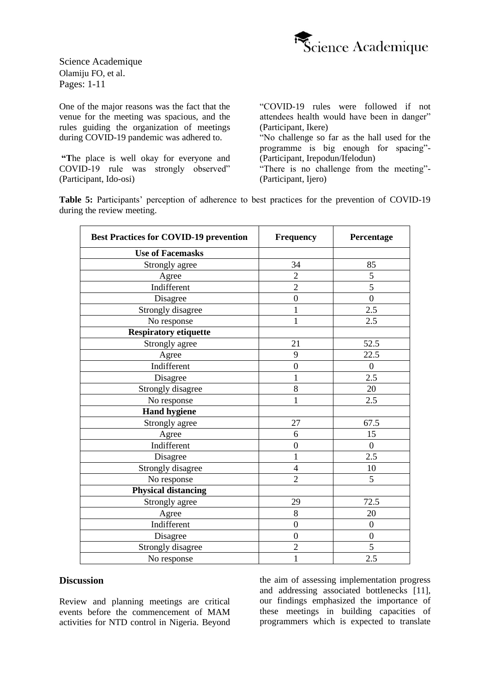

One of the major reasons was the fact that the venue for the meeting was spacious, and the rules guiding the organization of meetings during COVID-19 pandemic was adhered to.

**"T**he place is well okay for everyone and COVID-19 rule was strongly observed" (Participant, Ido-osi)

"COVID-19 rules were followed if not attendees health would have been in danger" (Participant, Ikere)

"No challenge so far as the hall used for the programme is big enough for spacing"- (Participant, Irepodun/Ifelodun)

"There is no challenge from the meeting"- (Participant, Ijero)

**Table 5:** Participants' perception of adherence to best practices for the prevention of COVID-19 during the review meeting.

| <b>Best Practices for COVID-19 prevention</b> | <b>Frequency</b> | Percentage     |
|-----------------------------------------------|------------------|----------------|
| <b>Use of Facemasks</b>                       |                  |                |
| Strongly agree                                | 34               | 85             |
| Agree                                         | $\overline{2}$   | 5              |
| Indifferent                                   | $\overline{2}$   | 5              |
| Disagree                                      | $\boldsymbol{0}$ | $\mathbf{0}$   |
| Strongly disagree                             | $\mathbf{1}$     | 2.5            |
| No response                                   | $\mathbf{1}$     | 2.5            |
| <b>Respiratory etiquette</b>                  |                  |                |
| Strongly agree                                | 21               | 52.5           |
| Agree                                         | 9                | 22.5           |
| Indifferent                                   | $\mathbf{0}$     | $\mathbf{0}$   |
| Disagree                                      | 1                | 2.5            |
| Strongly disagree                             | 8                | 20             |
| No response                                   | $\mathbf{1}$     | 2.5            |
| <b>Hand hygiene</b>                           |                  |                |
| Strongly agree                                | 27               | 67.5           |
| Agree                                         | 6                | 15             |
| Indifferent                                   | $\mathbf{0}$     | $\mathbf{0}$   |
| Disagree                                      | 1                | 2.5            |
| Strongly disagree                             | 4                | 10             |
| No response                                   | $\overline{2}$   | 5              |
| <b>Physical distancing</b>                    |                  |                |
| Strongly agree                                | 29               | 72.5           |
| Agree                                         | 8                | 20             |
| Indifferent                                   | $\mathbf{0}$     | $\overline{0}$ |
| Disagree                                      | $\mathbf{0}$     | $\mathbf{0}$   |
| Strongly disagree                             | $\overline{2}$   | 5              |
| No response                                   | $\mathbf{1}$     | 2.5            |

#### **Discussion**

Review and planning meetings are critical events before the commencement of MAM activities for NTD control in Nigeria. Beyond the aim of assessing implementation progress and addressing associated bottlenecks [11], our findings emphasized the importance of these meetings in building capacities of programmers which is expected to translate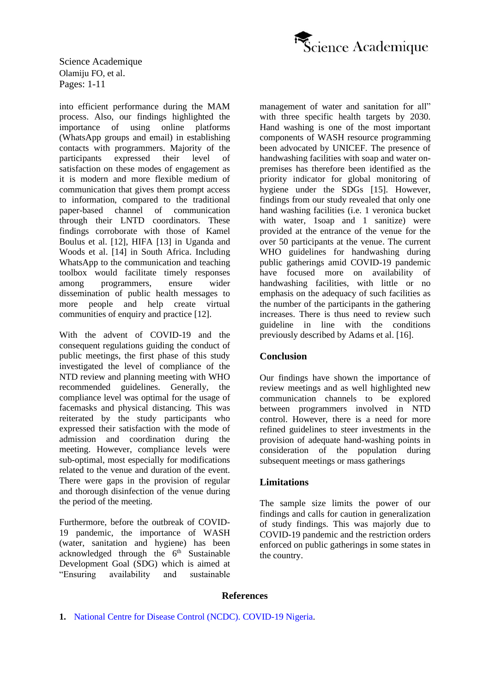

into efficient performance during the MAM process. Also, our findings highlighted the importance of using online platforms (WhatsApp groups and email) in establishing contacts with programmers. Majority of the participants expressed their level of satisfaction on these modes of engagement as it is modern and more flexible medium of communication that gives them prompt access to information, compared to the traditional paper-based channel of communication through their LNTD coordinators. These findings corroborate with those of Kamel Boulus et al. [12], HIFA [13] in Uganda and Woods et al. [14] in South Africa. Including WhatsApp to the communication and teaching toolbox would facilitate timely responses among programmers, ensure wider dissemination of public health messages to more people and help create virtual communities of enquiry and practice [12].

With the advent of COVID-19 and the consequent regulations guiding the conduct of public meetings, the first phase of this study investigated the level of compliance of the NTD review and planning meeting with WHO recommended guidelines. Generally, the compliance level was optimal for the usage of facemasks and physical distancing. This was reiterated by the study participants who expressed their satisfaction with the mode of admission and coordination during the meeting. However, compliance levels were sub-optimal, most especially for modifications related to the venue and duration of the event. There were gaps in the provision of regular and thorough disinfection of the venue during the period of the meeting.

Furthermore, before the outbreak of COVID-19 pandemic, the importance of WASH (water, sanitation and hygiene) has been acknowledged through the  $6<sup>th</sup>$  Sustainable Development Goal (SDG) which is aimed at "Ensuring availability and sustainable

management of water and sanitation for all" with three specific health targets by 2030. Hand washing is one of the most important components of WASH resource programming been advocated by UNICEF. The presence of handwashing facilities with soap and water onpremises has therefore been identified as the priority indicator for global monitoring of hygiene under the SDGs [15]. However, findings from our study revealed that only one hand washing facilities (i.e. 1 veronica bucket with water, 1soap and 1 sanitize) were provided at the entrance of the venue for the over 50 participants at the venue. The current WHO guidelines for handwashing during public gatherings amid COVID-19 pandemic have focused more on availability of handwashing facilities, with little or no emphasis on the adequacy of such facilities as the number of the participants in the gathering increases. There is thus need to review such guideline in line with the conditions previously described by Adams et al. [16].

## **Conclusion**

Our findings have shown the importance of review meetings and as well highlighted new communication channels to be explored between programmers involved in NTD control. However, there is a need for more refined guidelines to steer investments in the provision of adequate hand-washing points in consideration of the population during subsequent meetings or mass gatherings

## **Limitations**

The sample size limits the power of our findings and calls for caution in generalization of study findings. This was majorly due to COVID-19 pandemic and the restriction orders enforced on public gatherings in some states in the country.

#### **References**

**<sup>1.</sup>** [National Centre for Disease Control \(NCDC\).](https://covid19.ncdc.gov.ng/) COVID-19 Nigeria.